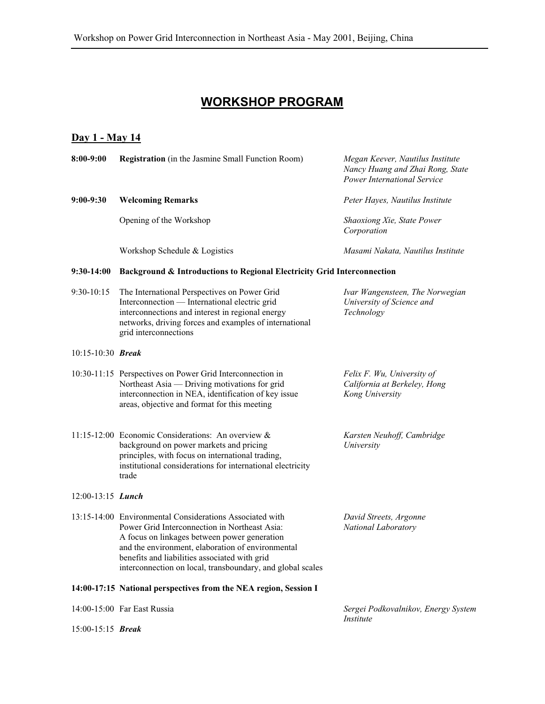## **WORKSHOP PROGRAM**

## **Day 1 - May 14**

| 8:00-9:00                  | <b>Registration</b> (in the Jasmine Small Function Room)                                                                                                                                                                                                                                                                      | Megan Keever, Nautilus Institute<br>Nancy Huang and Zhai Rong, State<br><b>Power International Service</b> |  |
|----------------------------|-------------------------------------------------------------------------------------------------------------------------------------------------------------------------------------------------------------------------------------------------------------------------------------------------------------------------------|------------------------------------------------------------------------------------------------------------|--|
| $9:00-9:30$                | <b>Welcoming Remarks</b>                                                                                                                                                                                                                                                                                                      | Peter Hayes, Nautilus Institute                                                                            |  |
|                            | Opening of the Workshop                                                                                                                                                                                                                                                                                                       | Shaoxiong Xie, State Power<br>Corporation                                                                  |  |
|                            | Workshop Schedule & Logistics                                                                                                                                                                                                                                                                                                 | Masami Nakata, Nautilus Institute                                                                          |  |
| $9:30-14:00$               | Background & Introductions to Regional Electricity Grid Interconnection                                                                                                                                                                                                                                                       |                                                                                                            |  |
| 9:30-10:15                 | The International Perspectives on Power Grid<br>Interconnection - International electric grid<br>interconnections and interest in regional energy<br>networks, driving forces and examples of international<br>grid interconnections                                                                                          | Ivar Wangensteen, The Norwegian<br>University of Science and<br>Technology                                 |  |
| $10:15-10:30$ Break        |                                                                                                                                                                                                                                                                                                                               |                                                                                                            |  |
|                            | 10:30-11:15 Perspectives on Power Grid Interconnection in<br>Northeast Asia — Driving motivations for grid<br>interconnection in NEA, identification of key issue<br>areas, objective and format for this meeting                                                                                                             | Felix F. Wu, University of<br>California at Berkeley, Hong<br>Kong University                              |  |
|                            | 11:15-12:00 Economic Considerations: An overview &<br>background on power markets and pricing<br>principles, with focus on international trading,<br>institutional considerations for international electricity<br>trade                                                                                                      | Karsten Neuhoff, Cambridge<br>University                                                                   |  |
| $12:00-13:15$ <i>Lunch</i> |                                                                                                                                                                                                                                                                                                                               |                                                                                                            |  |
|                            | 13:15-14:00 Environmental Considerations Associated with<br>Power Grid Interconnection in Northeast Asia:<br>A focus on linkages between power generation<br>and the environment, elaboration of environmental<br>benefits and liabilities associated with grid<br>interconnection on local, transboundary, and global scales | David Streets, Argonne<br>National Laboratory                                                              |  |
|                            | 14:00-17:15 National perspectives from the NEA region, Session I                                                                                                                                                                                                                                                              |                                                                                                            |  |
|                            | 14:00-15:00 Far East Russia                                                                                                                                                                                                                                                                                                   | Sergei Podkovalnikov, Energy System                                                                        |  |
| $15:00-15:15$ Break        |                                                                                                                                                                                                                                                                                                                               | <i>Institute</i>                                                                                           |  |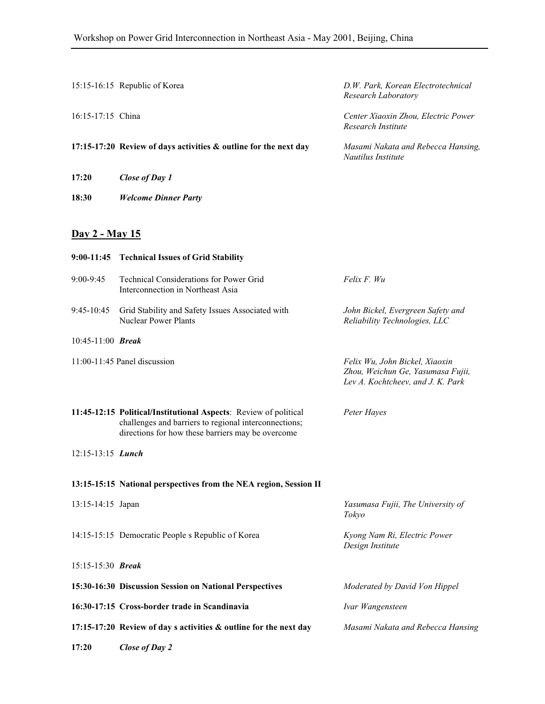|                       | 15:15-16:15 Republic of Korea                                                                                                                                                  | D.W. Park, Korean Electrotechnical<br>Research Laboratory                                                |
|-----------------------|--------------------------------------------------------------------------------------------------------------------------------------------------------------------------------|----------------------------------------------------------------------------------------------------------|
| 16:15-17:15 China     |                                                                                                                                                                                | Center Xiaoxin Zhou, Electric Power<br>Research Institute                                                |
|                       | 17:15-17:20 Review of days activities & outline for the next day                                                                                                               | Masami Nakata and Rebecca Hansing,<br>Nautilus Institute                                                 |
| 17:20                 | Close of Day 1                                                                                                                                                                 |                                                                                                          |
| 18:30                 | <b>Welcome Dinner Party</b>                                                                                                                                                    |                                                                                                          |
|                       |                                                                                                                                                                                |                                                                                                          |
| <u>Day 2 - May 15</u> |                                                                                                                                                                                |                                                                                                          |
|                       | 9:00-11:45 Technical Issues of Grid Stability                                                                                                                                  |                                                                                                          |
| 9:00-9:45             | Technical Considerations for Power Grid<br>Interconnection in Northeast Asia                                                                                                   | Felix F. Wu                                                                                              |
| $9:45-10:45$          | Grid Stability and Safety Issues Associated with<br><b>Nuclear Power Plants</b>                                                                                                | John Bickel, Evergreen Safety and<br>Reliability Technologies, LLC                                       |
| $10:45-11:00$ Break   |                                                                                                                                                                                |                                                                                                          |
|                       | $11:00-11:45$ Panel discussion                                                                                                                                                 | Felix Wu, John Bickel, Xiaoxin<br>Zhou, Weichun Ge, Yasumasa Fujii,<br>Lev A. Kochtcheev, and J. K. Park |
|                       | 11:45-12:15 Political/Institutional Aspects: Review of political<br>challenges and barriers to regional interconnections;<br>directions for how these barriers may be overcome | Peter Hayes                                                                                              |
| 12:15-13:15 Lunch     |                                                                                                                                                                                |                                                                                                          |
|                       | 13:15-15:15 National perspectives from the NEA region, Session II                                                                                                              |                                                                                                          |
| 13:15-14:15 Japan     |                                                                                                                                                                                | Yasumasa Fujii, The University of<br>Tokyo                                                               |
|                       | 14:15-15:15 Democratic People s Republic of Korea                                                                                                                              | Kyong Nam Ri, Electric Power<br>Design Institute                                                         |
| 15:15-15:30 Break     |                                                                                                                                                                                |                                                                                                          |
|                       | 15:30-16:30 Discussion Session on National Perspectives                                                                                                                        | Moderated by David Von Hippel                                                                            |
|                       | 16:30-17:15 Cross-border trade in Scandinavia                                                                                                                                  | Ivar Wangensteen                                                                                         |
|                       | 17:15-17:20 Review of day s activities & outline for the next day                                                                                                              | Masami Nakata and Rebecca Hansing                                                                        |
| 17:20                 | Close of Day 2                                                                                                                                                                 |                                                                                                          |